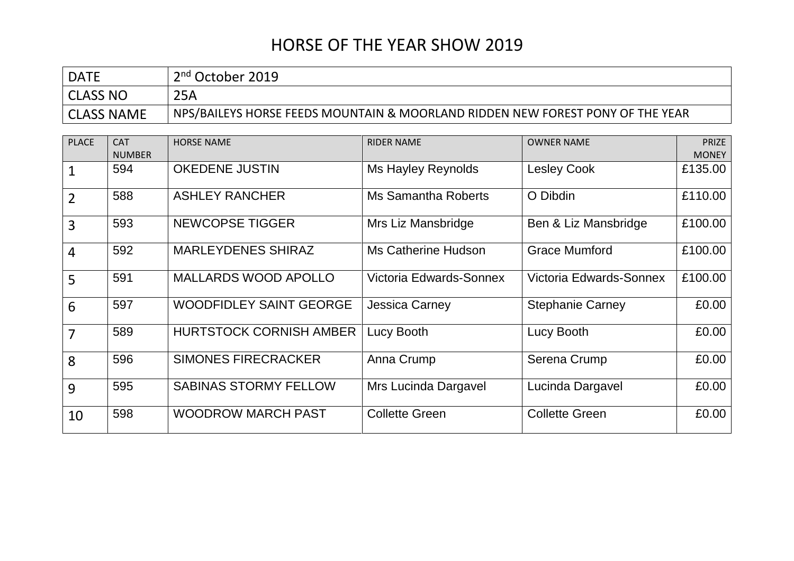| <b>DATE</b>       | 2 <sup>nd</sup> October 2019                                                   |
|-------------------|--------------------------------------------------------------------------------|
| <b>CLASS NO</b>   | 25A                                                                            |
| <b>CLASS NAME</b> | NPS/BAILEYS HORSE FEEDS MOUNTAIN & MOORLAND RIDDEN NEW FOREST PONY OF THE YEAR |

| <b>PLACE</b>   | <b>CAT</b>    | <b>HORSE NAME</b>              | <b>RIDER NAME</b>          | <b>OWNER NAME</b>       | <b>PRIZE</b> |
|----------------|---------------|--------------------------------|----------------------------|-------------------------|--------------|
|                | <b>NUMBER</b> |                                |                            |                         | <b>MONEY</b> |
| 1              | 594           | <b>OKEDENE JUSTIN</b>          | Ms Hayley Reynolds         | <b>Lesley Cook</b>      | £135.00      |
| $\overline{2}$ | 588           | <b>ASHLEY RANCHER</b>          | <b>Ms Samantha Roberts</b> | O Dibdin                | £110.00      |
| $\overline{3}$ | 593           | <b>NEWCOPSE TIGGER</b>         | Mrs Liz Mansbridge         | Ben & Liz Mansbridge    | £100.00      |
| 4              | 592           | <b>MARLEYDENES SHIRAZ</b>      | Ms Catherine Hudson        | <b>Grace Mumford</b>    | £100.00      |
| 5              | 591           | <b>MALLARDS WOOD APOLLO</b>    | Victoria Edwards-Sonnex    | Victoria Edwards-Sonnex | £100.00      |
| 6              | 597           | <b>WOODFIDLEY SAINT GEORGE</b> | <b>Jessica Carney</b>      | <b>Stephanie Carney</b> | £0.00        |
| 7              | 589           | <b>HURTSTOCK CORNISH AMBER</b> | Lucy Booth                 | Lucy Booth              | £0.00        |
| 8              | 596           | <b>SIMONES FIRECRACKER</b>     | Anna Crump                 | Serena Crump            | £0.00        |
| 9              | 595           | <b>SABINAS STORMY FELLOW</b>   | Mrs Lucinda Dargavel       | Lucinda Dargavel        | £0.00        |
| 10             | 598           | <b>WOODROW MARCH PAST</b>      | <b>Collette Green</b>      | <b>Collette Green</b>   | £0.00        |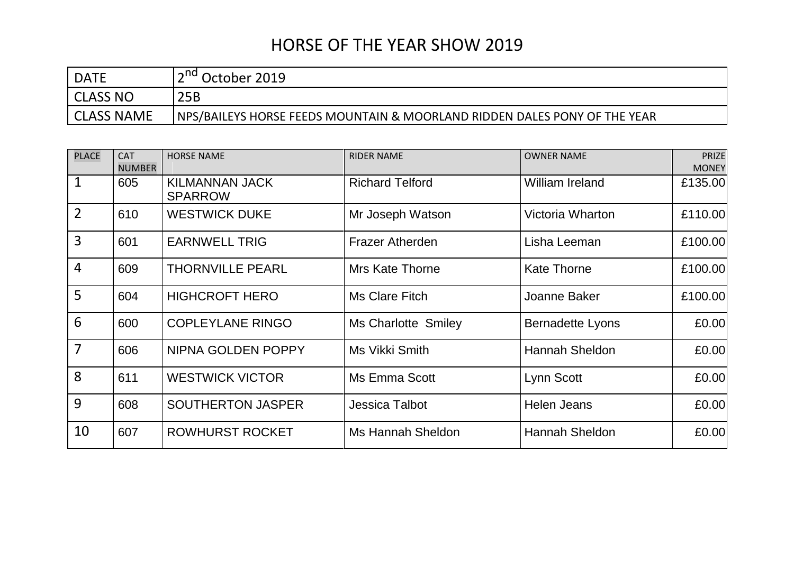| <b>DATE</b>       | October 2019                                                              |
|-------------------|---------------------------------------------------------------------------|
| CLASS NO          | 25B                                                                       |
| <b>CLASS NAME</b> | NPS/BAILEYS HORSE FEEDS MOUNTAIN & MOORLAND RIDDEN DALES PONY OF THE YEAR |

| <b>PLACE</b>   | <b>CAT</b><br><b>NUMBER</b> | <b>HORSE NAME</b>                       | <b>RIDER NAME</b>      | <b>OWNER NAME</b>       | <b>PRIZE</b><br><b>MONEY</b> |
|----------------|-----------------------------|-----------------------------------------|------------------------|-------------------------|------------------------------|
| $\mathbf 1$    | 605                         | <b>KILMANNAN JACK</b><br><b>SPARROW</b> | <b>Richard Telford</b> | <b>William Ireland</b>  | £135.00                      |
| $\overline{2}$ | 610                         | <b>WESTWICK DUKE</b>                    | Mr Joseph Watson       | <b>Victoria Wharton</b> | £110.00                      |
| $\overline{3}$ | 601                         | <b>EARNWELL TRIG</b>                    | <b>Frazer Atherden</b> | Lisha Leeman            | £100.00                      |
| $\overline{4}$ | 609                         | <b>THORNVILLE PEARL</b>                 | <b>Mrs Kate Thorne</b> | <b>Kate Thorne</b>      | £100.00                      |
| 5              | 604                         | <b>HIGHCROFT HERO</b>                   | Ms Clare Fitch         | Joanne Baker            | £100.00                      |
| 6              | 600                         | <b>COPLEYLANE RINGO</b>                 | Ms Charlotte Smiley    | <b>Bernadette Lyons</b> | £0.00                        |
| $\overline{7}$ | 606                         | NIPNA GOLDEN POPPY                      | Ms Vikki Smith         | <b>Hannah Sheldon</b>   | £0.00                        |
| 8              | 611                         | <b>WESTWICK VICTOR</b>                  | Ms Emma Scott          | Lynn Scott              | £0.00                        |
| 9              | 608                         | <b>SOUTHERTON JASPER</b>                | <b>Jessica Talbot</b>  | <b>Helen Jeans</b>      | £0.00                        |
| 10             | 607                         | <b>ROWHURST ROCKET</b>                  | Ms Hannah Sheldon      | Hannah Sheldon          | £0.00                        |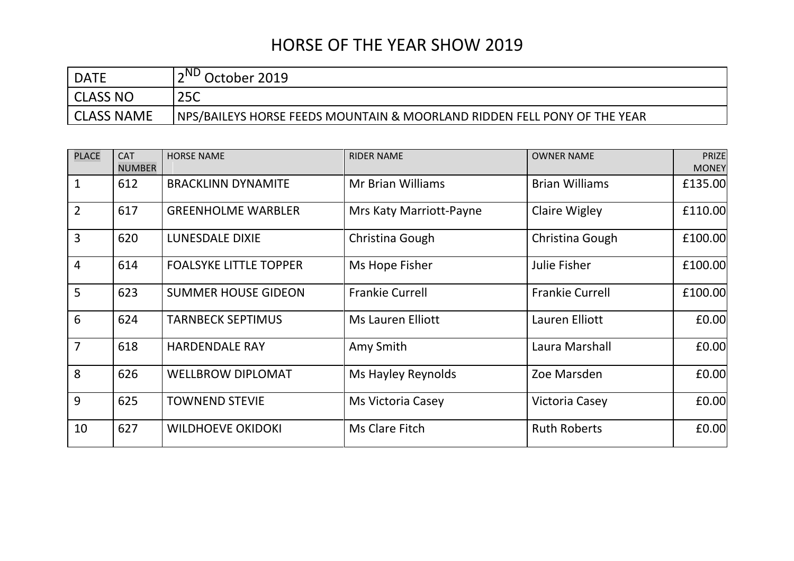| <b>DATE</b> | $\land$ ND<br>October 2019                                               |
|-------------|--------------------------------------------------------------------------|
| CLASS NO    | 25C                                                                      |
| CLASS NAME  | NPS/BAILEYS HORSE FEEDS MOUNTAIN & MOORLAND RIDDEN FELL PONY OF THE YEAR |

| <b>PLACE</b>   | <b>CAT</b>    | <b>HORSE NAME</b>             | <b>RIDER NAME</b>        | <b>OWNER NAME</b>      | <b>PRIZE</b> |
|----------------|---------------|-------------------------------|--------------------------|------------------------|--------------|
|                | <b>NUMBER</b> |                               |                          |                        | <b>MONEY</b> |
| $\mathbf{1}$   | 612           | <b>BRACKLINN DYNAMITE</b>     | <b>Mr Brian Williams</b> | <b>Brian Williams</b>  | £135.00      |
| $\overline{2}$ | 617           | <b>GREENHOLME WARBLER</b>     | Mrs Katy Marriott-Payne  | <b>Claire Wigley</b>   | £110.00      |
| $\overline{3}$ | 620           | <b>LUNESDALE DIXIE</b>        | Christina Gough          | Christina Gough        | £100.00      |
| $\overline{4}$ | 614           | <b>FOALSYKE LITTLE TOPPER</b> | Ms Hope Fisher           | <b>Julie Fisher</b>    | £100.00      |
| 5              | 623           | <b>SUMMER HOUSE GIDEON</b>    | <b>Frankie Currell</b>   | <b>Frankie Currell</b> | £100.00      |
| $6\phantom{1}$ | 624           | <b>TARNBECK SEPTIMUS</b>      | Ms Lauren Elliott        | Lauren Elliott         | £0.00        |
| $\overline{7}$ | 618           | <b>HARDENDALE RAY</b>         | Amy Smith                | Laura Marshall         | £0.00        |
| 8              | 626           | <b>WELLBROW DIPLOMAT</b>      | Ms Hayley Reynolds       | Zoe Marsden            | £0.00        |
| 9              | 625           | <b>TOWNEND STEVIE</b>         | Ms Victoria Casey        | Victoria Casey         | £0.00        |
| 10             | 627           | <b>WILDHOEVE OKIDOKI</b>      | Ms Clare Fitch           | <b>Ruth Roberts</b>    | £0.00        |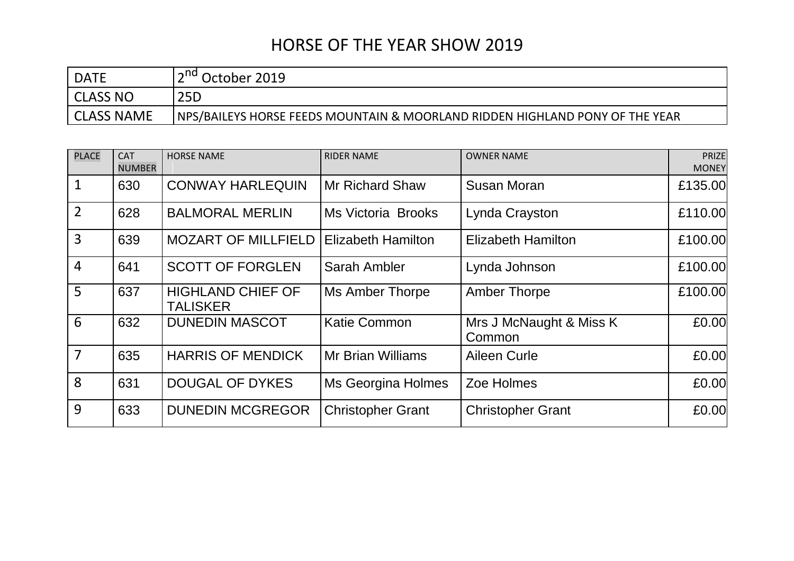| <b>DATE</b>       | )ctober 2019                                                                 |
|-------------------|------------------------------------------------------------------------------|
| CLASS NO          | 25D                                                                          |
| <b>CLASS NAME</b> | NPS/BAILEYS HORSE FEEDS MOUNTAIN & MOORLAND RIDDEN HIGHLAND PONY OF THE YEAR |

| <b>PLACE</b>   | <b>CAT</b><br><b>NUMBER</b> | <b>HORSE NAME</b>                           | <b>RIDER NAME</b>         | <b>OWNER NAME</b>                 | <b>PRIZE</b><br><b>MONEY</b> |
|----------------|-----------------------------|---------------------------------------------|---------------------------|-----------------------------------|------------------------------|
| $\mathbf 1$    | 630                         | <b>CONWAY HARLEQUIN</b>                     | <b>Mr Richard Shaw</b>    | Susan Moran                       | £135.00                      |
| $\overline{2}$ | 628                         | <b>BALMORAL MERLIN</b>                      | <b>Ms Victoria Brooks</b> | Lynda Crayston                    | £110.00                      |
| $\overline{3}$ | 639                         | <b>MOZART OF MILLFIELD</b>                  | <b>Elizabeth Hamilton</b> | <b>Elizabeth Hamilton</b>         | £100.00                      |
| $\overline{4}$ | 641                         | <b>SCOTT OF FORGLEN</b>                     | Sarah Ambler              | Lynda Johnson                     | £100.00                      |
| 5              | 637                         | <b>HIGHLAND CHIEF OF</b><br><b>TALISKER</b> | <b>Ms Amber Thorpe</b>    | <b>Amber Thorpe</b>               | £100.00                      |
| 6              | 632                         | <b>DUNEDIN MASCOT</b>                       | <b>Katie Common</b>       | Mrs J McNaught & Miss K<br>Common | £0.00                        |
| $\overline{7}$ | 635                         | <b>HARRIS OF MENDICK</b>                    | <b>Mr Brian Williams</b>  | Aileen Curle                      | £0.00                        |
| 8              | 631                         | <b>DOUGAL OF DYKES</b>                      | Ms Georgina Holmes        | Zoe Holmes                        | £0.00                        |
| 9              | 633                         | <b>DUNEDIN MCGREGOR</b>                     | <b>Christopher Grant</b>  | <b>Christopher Grant</b>          | £0.00                        |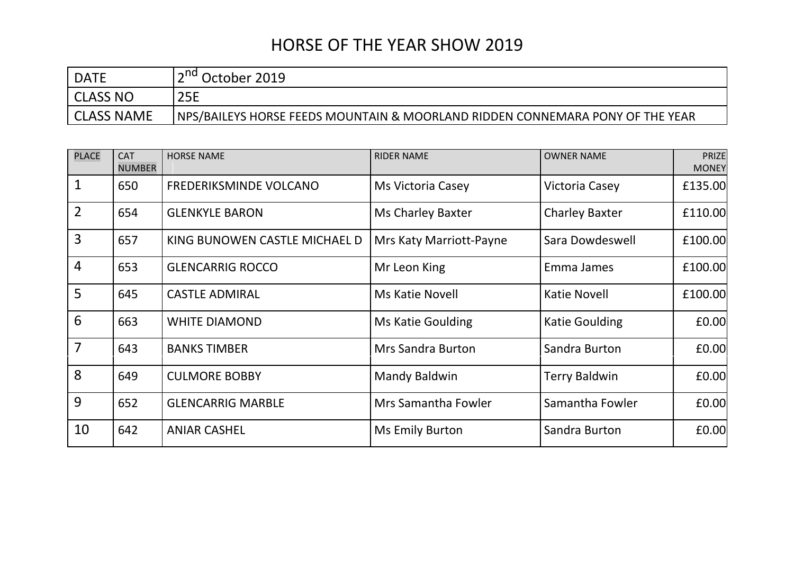| <b>DATE</b>       | October 2019                                                                  |
|-------------------|-------------------------------------------------------------------------------|
| CLASS NO          | <b>25E</b>                                                                    |
| <b>CLASS NAME</b> | NPS/BAILEYS HORSE FEEDS MOUNTAIN & MOORLAND RIDDEN CONNEMARA PONY OF THE YEAR |

| <b>PLACE</b>   | <b>CAT</b><br><b>NUMBER</b> | <b>HORSE NAME</b>             | <b>RIDER NAME</b>        | <b>OWNER NAME</b>     | <b>PRIZE</b><br><b>MONEY</b> |
|----------------|-----------------------------|-------------------------------|--------------------------|-----------------------|------------------------------|
| $\mathbf{1}$   | 650                         | FREDERIKSMINDE VOLCANO        | Ms Victoria Casey        | Victoria Casey        | £135.00                      |
| $\overline{2}$ | 654                         | <b>GLENKYLE BARON</b>         | <b>Ms Charley Baxter</b> | <b>Charley Baxter</b> | £110.00                      |
| $\overline{3}$ | 657                         | KING BUNOWEN CASTLE MICHAEL D | Mrs Katy Marriott-Payne  | Sara Dowdeswell       | £100.00                      |
| $\overline{4}$ | 653                         | <b>GLENCARRIG ROCCO</b>       | Mr Leon King             | Emma James            | £100.00                      |
| 5              | 645                         | <b>CASTLE ADMIRAL</b>         | Ms Katie Novell          | <b>Katie Novell</b>   | £100.00                      |
| 6              | 663                         | <b>WHITE DIAMOND</b>          | Ms Katie Goulding        | <b>Katie Goulding</b> | £0.00                        |
| $\overline{7}$ | 643                         | <b>BANKS TIMBER</b>           | <b>Mrs Sandra Burton</b> | Sandra Burton         | £0.00                        |
| 8              | 649                         | <b>CULMORE BOBBY</b>          | <b>Mandy Baldwin</b>     | <b>Terry Baldwin</b>  | £0.00                        |
| 9              | 652                         | <b>GLENCARRIG MARBLE</b>      | Mrs Samantha Fowler      | Samantha Fowler       | £0.00                        |
| 10             | 642                         | <b>ANIAR CASHEL</b>           | <b>Ms Emily Burton</b>   | Sandra Burton         | £0.00                        |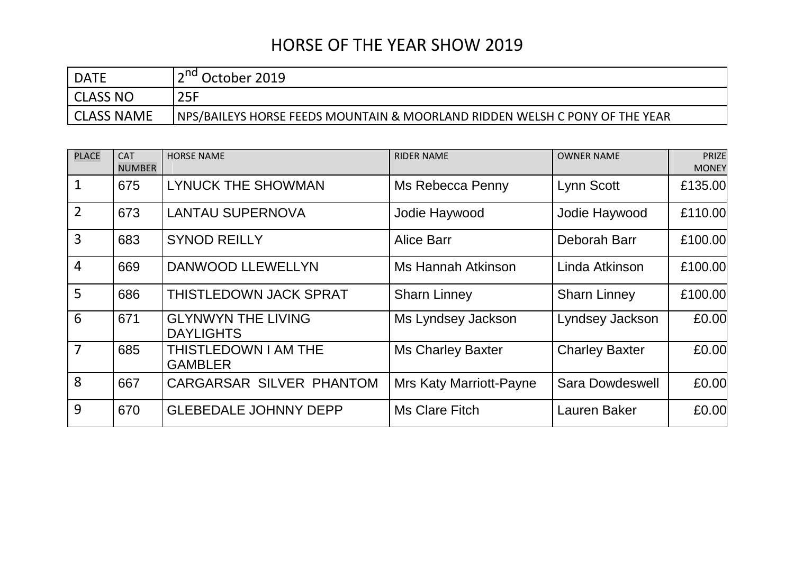| <b>DATE</b> | October 2019                                                                |
|-------------|-----------------------------------------------------------------------------|
| CLASS NO    | 25F                                                                         |
| CLASS NAME  | NPS/BAILEYS HORSE FEEDS MOUNTAIN & MOORLAND RIDDEN WELSH C PONY OF THE YEAR |

| <b>PLACE</b>   | <b>CAT</b><br><b>NUMBER</b> | <b>HORSE NAME</b>                             | <b>RIDER NAME</b>              | <b>OWNER NAME</b>      | <b>PRIZE</b><br><b>MONEY</b> |
|----------------|-----------------------------|-----------------------------------------------|--------------------------------|------------------------|------------------------------|
| $\mathbf{1}$   | 675                         | <b>LYNUCK THE SHOWMAN</b>                     | Ms Rebecca Penny               | Lynn Scott             | £135.00                      |
| $\overline{2}$ | 673                         | <b>LANTAU SUPERNOVA</b>                       | Jodie Haywood                  | Jodie Haywood          | £110.00                      |
| $\overline{3}$ | 683                         | <b>SYNOD REILLY</b>                           | <b>Alice Barr</b>              | Deborah Barr           | £100.00                      |
| $\overline{4}$ | 669                         | <b>DANWOOD LLEWELLYN</b>                      | Ms Hannah Atkinson             | Linda Atkinson         | £100.00                      |
| 5              | 686                         | THISTLEDOWN JACK SPRAT                        | <b>Sharn Linney</b>            | <b>Sharn Linney</b>    | £100.00                      |
| 6              | 671                         | <b>GLYNWYN THE LIVING</b><br><b>DAYLIGHTS</b> | Ms Lyndsey Jackson             | Lyndsey Jackson        | £0.00                        |
| 7              | 685                         | THISTLEDOWN I AM THE<br><b>GAMBLER</b>        | <b>Ms Charley Baxter</b>       | <b>Charley Baxter</b>  | £0.00                        |
| 8              | 667                         | CARGARSAR SILVER PHANTOM                      | <b>Mrs Katy Marriott-Payne</b> | <b>Sara Dowdeswell</b> | £0.00                        |
| 9              | 670                         | <b>GLEBEDALE JOHNNY DEPP</b>                  | Ms Clare Fitch                 | <b>Lauren Baker</b>    | £0.00                        |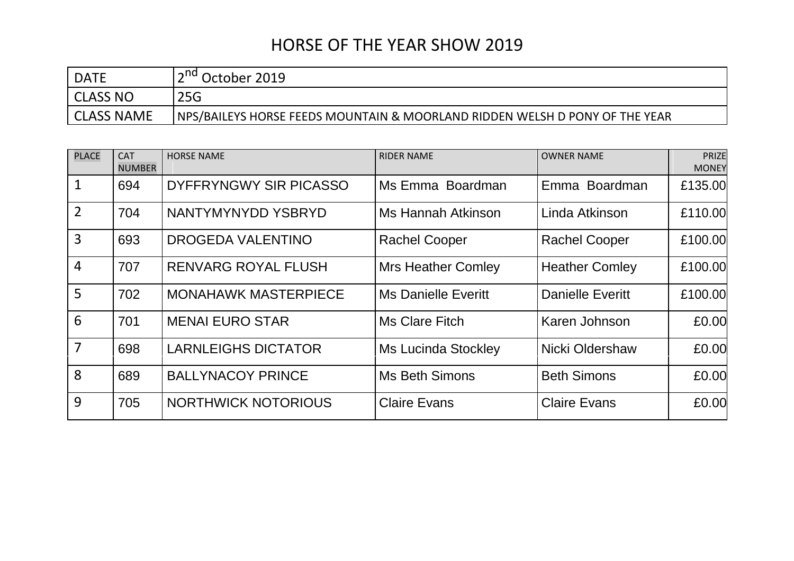| <b>DATE</b> | 2019 (Ctober                                                                |
|-------------|-----------------------------------------------------------------------------|
| CLASS NO    | 25G                                                                         |
| CLASS NAME  | NPS/BAILEYS HORSE FEEDS MOUNTAIN & MOORLAND RIDDEN WELSH D PONY OF THE YEAR |

| <b>PLACE</b>    | <b>CAT</b><br><b>NUMBER</b> | <b>HORSE NAME</b>           | <b>RIDER NAME</b>          | <b>OWNER NAME</b>       | PRIZE<br><b>MONEY</b> |
|-----------------|-----------------------------|-----------------------------|----------------------------|-------------------------|-----------------------|
| $\mathbf{1}$    | 694                         | DYFFRYNGWY SIR PICASSO      | Ms Emma Boardman           | Emma Boardman           | £135.00               |
| $\overline{2}$  | 704                         | NANTYMYNYDD YSBRYD          | Ms Hannah Atkinson         | Linda Atkinson          | £110.00               |
| $\overline{3}$  | 693                         | <b>DROGEDA VALENTINO</b>    | <b>Rachel Cooper</b>       | <b>Rachel Cooper</b>    | £100.00               |
| $\overline{4}$  | 707                         | <b>RENVARG ROYAL FLUSH</b>  | <b>Mrs Heather Comley</b>  | <b>Heather Comley</b>   | £100.00               |
| $5\overline{)}$ | 702                         | <b>MONAHAWK MASTERPIECE</b> | <b>Ms Danielle Everitt</b> | <b>Danielle Everitt</b> | £100.00               |
| 6               | 701                         | <b>MENAI EURO STAR</b>      | <b>Ms Clare Fitch</b>      | Karen Johnson           | £0.00                 |
| $\overline{7}$  | 698                         | <b>LARNLEIGHS DICTATOR</b>  | <b>Ms Lucinda Stockley</b> | Nicki Oldershaw         | £0.00                 |
| 8               | 689                         | <b>BALLYNACOY PRINCE</b>    | <b>Ms Beth Simons</b>      | <b>Beth Simons</b>      | £0.00                 |
| 9               | 705                         | <b>NORTHWICK NOTORIOUS</b>  | <b>Claire Evans</b>        | <b>Claire Evans</b>     | £0.00                 |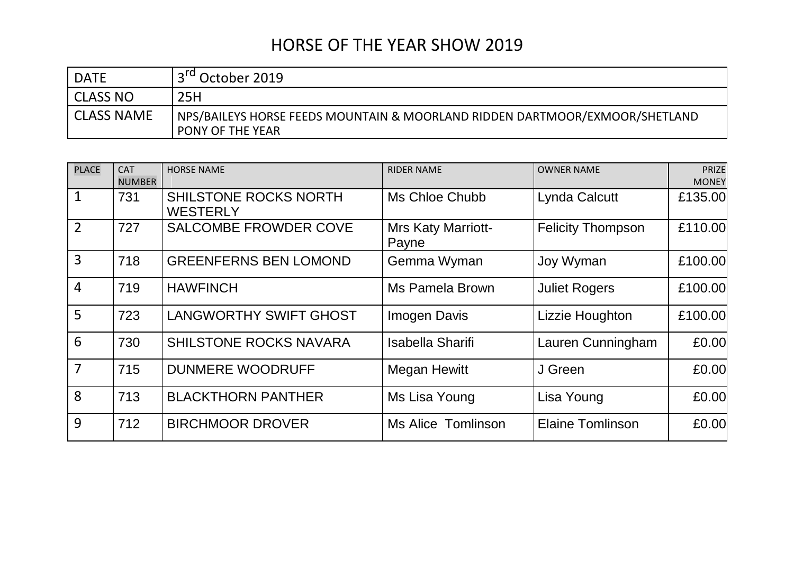| <b>DATE</b> | ' October 2019                                                                                    |
|-------------|---------------------------------------------------------------------------------------------------|
| l CLASS NO  | 25H                                                                                               |
| CLASS NAME  | NPS/BAILEYS HORSE FEEDS MOUNTAIN & MOORLAND RIDDEN DARTMOOR/EXMOOR/SHETLAND \<br>PONY OF THE YEAR |

| <b>PLACE</b>   | <b>CAT</b><br><b>NUMBER</b> | <b>HORSE NAME</b>                        | <b>RIDER NAME</b>                  | <b>OWNER NAME</b>        | <b>PRIZE</b><br><b>MONEY</b> |
|----------------|-----------------------------|------------------------------------------|------------------------------------|--------------------------|------------------------------|
| $\mathbf 1$    | 731                         | SHILSTONE ROCKS NORTH<br><b>WESTERLY</b> | Ms Chloe Chubb                     | Lynda Calcutt            | £135.00                      |
| 2              | 727                         | <b>SALCOMBE FROWDER COVE</b>             | <b>Mrs Katy Marriott-</b><br>Payne | <b>Felicity Thompson</b> | £110.00                      |
| $\overline{3}$ | 718                         | <b>GREENFERNS BEN LOMOND</b>             | Gemma Wyman                        | Joy Wyman                | £100.00                      |
| $\overline{4}$ | 719                         | <b>HAWFINCH</b>                          | Ms Pamela Brown                    | <b>Juliet Rogers</b>     | £100.00                      |
| 5              | 723                         | <b>LANGWORTHY SWIFT GHOST</b>            | <b>Imogen Davis</b>                | Lizzie Houghton          | £100.00                      |
| 6              | 730                         | <b>SHILSTONE ROCKS NAVARA</b>            | <b>Isabella Sharifi</b>            | Lauren Cunningham        | £0.00                        |
| 7              | 715                         | <b>DUNMERE WOODRUFF</b>                  | <b>Megan Hewitt</b>                | J Green                  | £0.00                        |
| 8              | 713                         | <b>BLACKTHORN PANTHER</b>                | Ms Lisa Young                      | Lisa Young               | £0.00                        |
| 9              | 712                         | <b>BIRCHMOOR DROVER</b>                  | <b>Ms Alice Tomlinson</b>          | <b>Elaine Tomlinson</b>  | £0.00                        |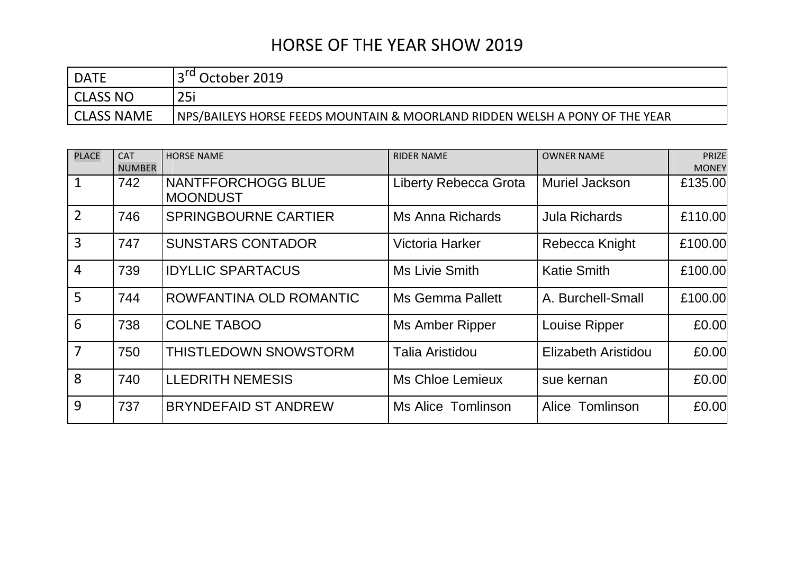| <b>DATE</b> | October 2019                                                                |
|-------------|-----------------------------------------------------------------------------|
| CLASS NO    | 25i                                                                         |
| CLASS NAME  | NPS/BAILEYS HORSE FEEDS MOUNTAIN & MOORLAND RIDDEN WELSH A PONY OF THE YEAR |

| <b>PLACE</b>   | <b>CAT</b><br><b>NUMBER</b> | <b>HORSE NAME</b>                     | <b>RIDER NAME</b>            | <b>OWNER NAME</b>    | <b>PRIZE</b><br><b>MONEY</b> |
|----------------|-----------------------------|---------------------------------------|------------------------------|----------------------|------------------------------|
| $\mathbf{1}$   | 742                         | NANTFFORCHOGG BLUE<br><b>MOONDUST</b> | <b>Liberty Rebecca Grota</b> | Muriel Jackson       | £135.00                      |
| $\overline{2}$ | 746                         | <b>SPRINGBOURNE CARTIER</b>           | Ms Anna Richards             | <b>Jula Richards</b> | £110.00                      |
| $\overline{3}$ | 747                         | <b>SUNSTARS CONTADOR</b>              | <b>Victoria Harker</b>       | Rebecca Knight       | £100.00                      |
| $\overline{4}$ | 739                         | <b>IDYLLIC SPARTACUS</b>              | Ms Livie Smith               | <b>Katie Smith</b>   | £100.00                      |
| 5              | 744                         | ROWFANTINA OLD ROMANTIC               | <b>Ms Gemma Pallett</b>      | A. Burchell-Small    | £100.00                      |
| 6              | 738                         | <b>COLNE TABOO</b>                    | <b>Ms Amber Ripper</b>       | Louise Ripper        | £0.00                        |
| $\overline{7}$ | 750                         | THISTLEDOWN SNOWSTORM                 | <b>Talia Aristidou</b>       | Elizabeth Aristidou  | £0.00                        |
| 8              | 740                         | <b>LLEDRITH NEMESIS</b>               | Ms Chloe Lemieux             | sue kernan           | £0.00                        |
| 9              | 737                         | <b>BRYNDEFAID ST ANDREW</b>           | Ms Alice Tomlinson           | Alice Tomlinson      | £0.00                        |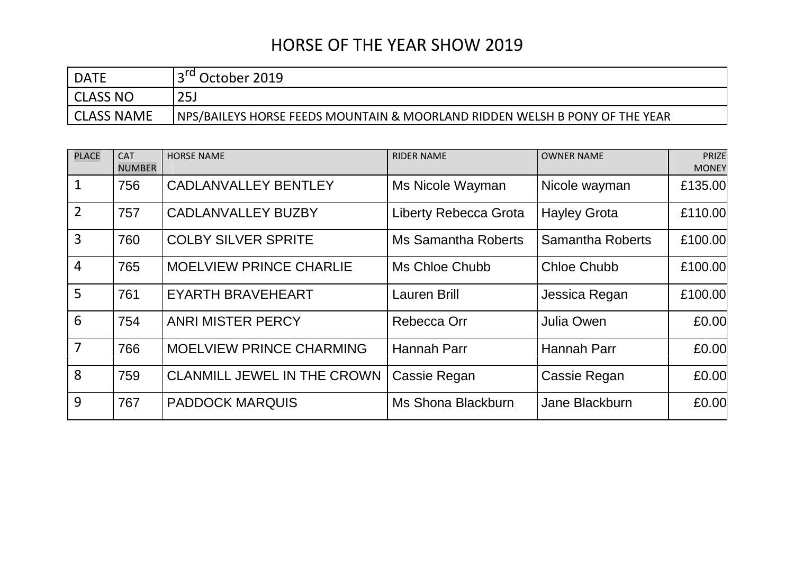| <b>DATE</b>       | October 2019                                                                |
|-------------------|-----------------------------------------------------------------------------|
| CLASS NO          | 25 <sub>J</sub>                                                             |
| <b>CLASS NAME</b> | NPS/BAILEYS HORSE FEEDS MOUNTAIN & MOORLAND RIDDEN WELSH B PONY OF THE YEAR |

| <b>PLACE</b>   | <b>CAT</b><br><b>NUMBER</b> | <b>HORSE NAME</b>                  | <b>RIDER NAME</b>            | <b>OWNER NAME</b>       | <b>PRIZE</b><br><b>MONEY</b> |
|----------------|-----------------------------|------------------------------------|------------------------------|-------------------------|------------------------------|
| $\mathbf{1}$   | 756                         | <b>CADLANVALLEY BENTLEY</b>        | Ms Nicole Wayman             | Nicole wayman           | £135.00                      |
| $\overline{2}$ | 757                         | <b>CADLANVALLEY BUZBY</b>          | <b>Liberty Rebecca Grota</b> | <b>Hayley Grota</b>     | £110.00                      |
| $\overline{3}$ | 760                         | <b>COLBY SILVER SPRITE</b>         | <b>Ms Samantha Roberts</b>   | <b>Samantha Roberts</b> | £100.00                      |
| $\overline{4}$ | 765                         | <b>MOELVIEW PRINCE CHARLIE</b>     | Ms Chloe Chubb               | <b>Chloe Chubb</b>      | £100.00                      |
| 5              | 761                         | <b>EYARTH BRAVEHEART</b>           | <b>Lauren Brill</b>          | Jessica Regan           | £100.00                      |
| 6              | 754                         | <b>ANRI MISTER PERCY</b>           | Rebecca Orr                  | Julia Owen              | £0.00                        |
| 7              | 766                         | <b>MOELVIEW PRINCE CHARMING</b>    | <b>Hannah Parr</b>           | <b>Hannah Parr</b>      | £0.00                        |
| 8              | 759                         | <b>CLANMILL JEWEL IN THE CROWN</b> | Cassie Regan                 | Cassie Regan            | £0.00                        |
| 9              | 767                         | <b>PADDOCK MARQUIS</b>             | Ms Shona Blackburn           | Jane Blackburn          | £0.00                        |